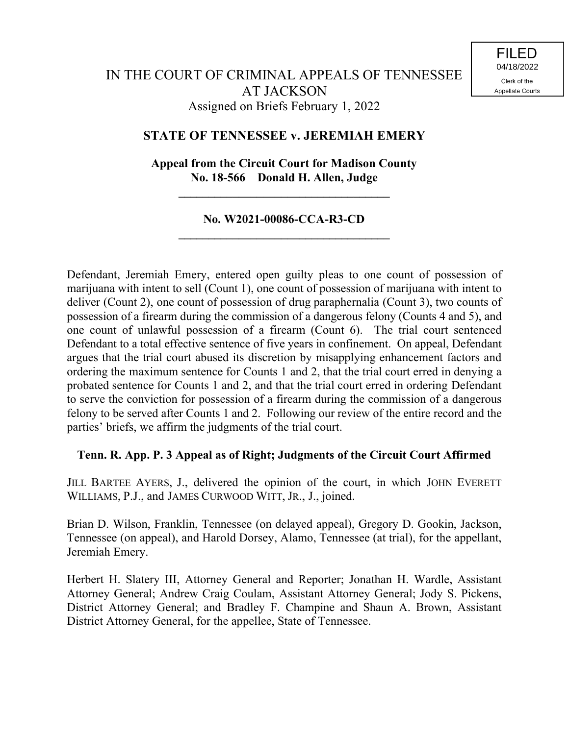# **STATE OF TENNESSEE v. JEREMIAH EMERY**

# **Appeal from the Circuit Court for Madison County No. 18-566 Donald H. Allen, Judge**

**\_\_\_\_\_\_\_\_\_\_\_\_\_\_\_\_\_\_\_\_\_\_\_\_\_\_\_\_\_\_\_\_\_\_\_**

## **No. W2021-00086-CCA-R3-CD \_\_\_\_\_\_\_\_\_\_\_\_\_\_\_\_\_\_\_\_\_\_\_\_\_\_\_\_\_\_\_\_\_\_\_**

Defendant, Jeremiah Emery, entered open guilty pleas to one count of possession of marijuana with intent to sell (Count 1), one count of possession of marijuana with intent to deliver (Count 2), one count of possession of drug paraphernalia (Count 3), two counts of possession of a firearm during the commission of a dangerous felony (Counts 4 and 5), and one count of unlawful possession of a firearm (Count 6). The trial court sentenced Defendant to a total effective sentence of five years in confinement. On appeal, Defendant argues that the trial court abused its discretion by misapplying enhancement factors and ordering the maximum sentence for Counts 1 and 2, that the trial court erred in denying a probated sentence for Counts 1 and 2, and that the trial court erred in ordering Defendant to serve the conviction for possession of a firearm during the commission of a dangerous felony to be served after Counts 1 and 2. Following our review of the entire record and the parties' briefs, we affirm the judgments of the trial court.

# **Tenn. R. App. P. 3 Appeal as of Right; Judgments of the Circuit Court Affirmed**

JILL BARTEE AYERS, J., delivered the opinion of the court, in which JOHN EVERETT WILLIAMS, P.J., and JAMES CURWOOD WITT, JR., J., joined.

Brian D. Wilson, Franklin, Tennessee (on delayed appeal), Gregory D. Gookin, Jackson, Tennessee (on appeal), and Harold Dorsey, Alamo, Tennessee (at trial), for the appellant, Jeremiah Emery.

Herbert H. Slatery III, Attorney General and Reporter; Jonathan H. Wardle, Assistant Attorney General; Andrew Craig Coulam, Assistant Attorney General; Jody S. Pickens, District Attorney General; and Bradley F. Champine and Shaun A. Brown, Assistant District Attorney General, for the appellee, State of Tennessee.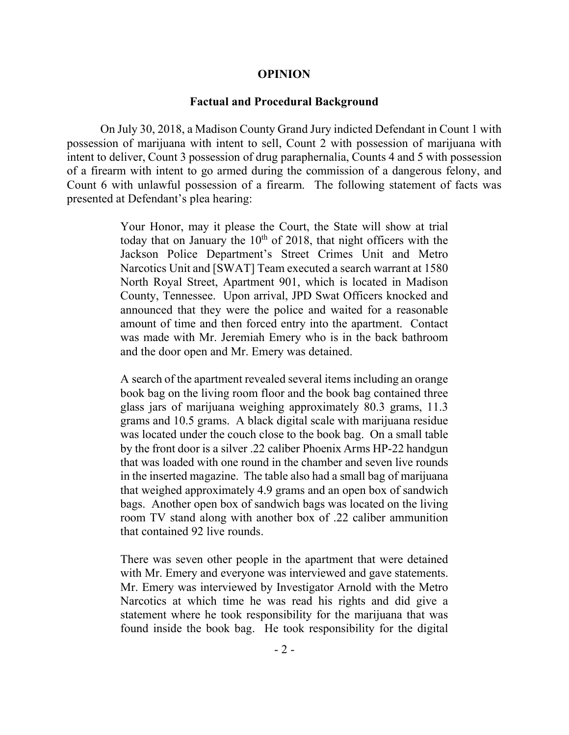#### **OPINION**

#### **Factual and Procedural Background**

On July 30, 2018, a Madison County Grand Jury indicted Defendant in Count 1 with possession of marijuana with intent to sell, Count 2 with possession of marijuana with intent to deliver, Count 3 possession of drug paraphernalia, Counts 4 and 5 with possession of a firearm with intent to go armed during the commission of a dangerous felony, and Count 6 with unlawful possession of a firearm. The following statement of facts was presented at Defendant's plea hearing:

> Your Honor, may it please the Court, the State will show at trial today that on January the  $10<sup>th</sup>$  of 2018, that night officers with the Jackson Police Department's Street Crimes Unit and Metro Narcotics Unit and [SWAT] Team executed a search warrant at 1580 North Royal Street, Apartment 901, which is located in Madison County, Tennessee. Upon arrival, JPD Swat Officers knocked and announced that they were the police and waited for a reasonable amount of time and then forced entry into the apartment. Contact was made with Mr. Jeremiah Emery who is in the back bathroom and the door open and Mr. Emery was detained.

> A search of the apartment revealed several items including an orange book bag on the living room floor and the book bag contained three glass jars of marijuana weighing approximately 80.3 grams, 11.3 grams and 10.5 grams. A black digital scale with marijuana residue was located under the couch close to the book bag. On a small table by the front door is a silver .22 caliber Phoenix Arms HP-22 handgun that was loaded with one round in the chamber and seven live rounds in the inserted magazine. The table also had a small bag of marijuana that weighed approximately 4.9 grams and an open box of sandwich bags. Another open box of sandwich bags was located on the living room TV stand along with another box of .22 caliber ammunition that contained 92 live rounds.

> There was seven other people in the apartment that were detained with Mr. Emery and everyone was interviewed and gave statements. Mr. Emery was interviewed by Investigator Arnold with the Metro Narcotics at which time he was read his rights and did give a statement where he took responsibility for the marijuana that was found inside the book bag. He took responsibility for the digital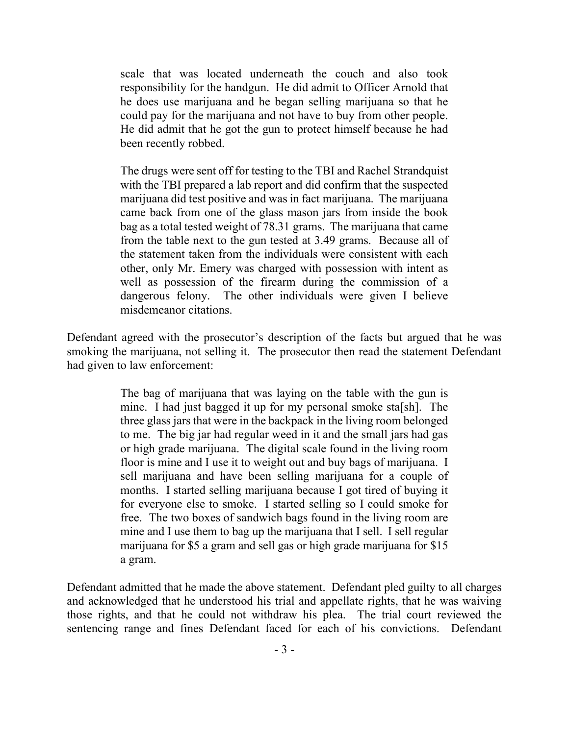scale that was located underneath the couch and also took responsibility for the handgun. He did admit to Officer Arnold that he does use marijuana and he began selling marijuana so that he could pay for the marijuana and not have to buy from other people. He did admit that he got the gun to protect himself because he had been recently robbed.

The drugs were sent off for testing to the TBI and Rachel Strandquist with the TBI prepared a lab report and did confirm that the suspected marijuana did test positive and was in fact marijuana. The marijuana came back from one of the glass mason jars from inside the book bag as a total tested weight of 78.31 grams. The marijuana that came from the table next to the gun tested at 3.49 grams. Because all of the statement taken from the individuals were consistent with each other, only Mr. Emery was charged with possession with intent as well as possession of the firearm during the commission of a dangerous felony. The other individuals were given I believe misdemeanor citations.

Defendant agreed with the prosecutor's description of the facts but argued that he was smoking the marijuana, not selling it. The prosecutor then read the statement Defendant had given to law enforcement:

> The bag of marijuana that was laying on the table with the gun is mine. I had just bagged it up for my personal smoke sta[sh]. The three glass jars that were in the backpack in the living room belonged to me. The big jar had regular weed in it and the small jars had gas or high grade marijuana. The digital scale found in the living room floor is mine and I use it to weight out and buy bags of marijuana. I sell marijuana and have been selling marijuana for a couple of months. I started selling marijuana because I got tired of buying it for everyone else to smoke. I started selling so I could smoke for free. The two boxes of sandwich bags found in the living room are mine and I use them to bag up the marijuana that I sell. I sell regular marijuana for \$5 a gram and sell gas or high grade marijuana for \$15 a gram.

Defendant admitted that he made the above statement. Defendant pled guilty to all charges and acknowledged that he understood his trial and appellate rights, that he was waiving those rights, and that he could not withdraw his plea. The trial court reviewed the sentencing range and fines Defendant faced for each of his convictions. Defendant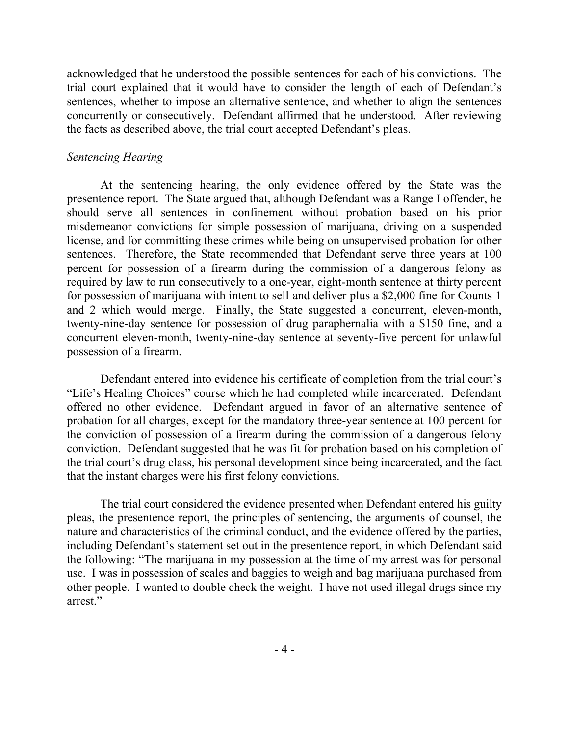acknowledged that he understood the possible sentences for each of his convictions. The trial court explained that it would have to consider the length of each of Defendant's sentences, whether to impose an alternative sentence, and whether to align the sentences concurrently or consecutively. Defendant affirmed that he understood. After reviewing the facts as described above, the trial court accepted Defendant's pleas.

## *Sentencing Hearing*

At the sentencing hearing, the only evidence offered by the State was the presentence report. The State argued that, although Defendant was a Range I offender, he should serve all sentences in confinement without probation based on his prior misdemeanor convictions for simple possession of marijuana, driving on a suspended license, and for committing these crimes while being on unsupervised probation for other sentences. Therefore, the State recommended that Defendant serve three years at 100 percent for possession of a firearm during the commission of a dangerous felony as required by law to run consecutively to a one-year, eight-month sentence at thirty percent for possession of marijuana with intent to sell and deliver plus a \$2,000 fine for Counts 1 and 2 which would merge. Finally, the State suggested a concurrent, eleven-month, twenty-nine-day sentence for possession of drug paraphernalia with a \$150 fine, and a concurrent eleven-month, twenty-nine-day sentence at seventy-five percent for unlawful possession of a firearm.

Defendant entered into evidence his certificate of completion from the trial court's "Life's Healing Choices" course which he had completed while incarcerated. Defendant offered no other evidence. Defendant argued in favor of an alternative sentence of probation for all charges, except for the mandatory three-year sentence at 100 percent for the conviction of possession of a firearm during the commission of a dangerous felony conviction. Defendant suggested that he was fit for probation based on his completion of the trial court's drug class, his personal development since being incarcerated, and the fact that the instant charges were his first felony convictions.

The trial court considered the evidence presented when Defendant entered his guilty pleas, the presentence report, the principles of sentencing, the arguments of counsel, the nature and characteristics of the criminal conduct, and the evidence offered by the parties, including Defendant's statement set out in the presentence report, in which Defendant said the following: "The marijuana in my possession at the time of my arrest was for personal use. I was in possession of scales and baggies to weigh and bag marijuana purchased from other people. I wanted to double check the weight. I have not used illegal drugs since my arrest."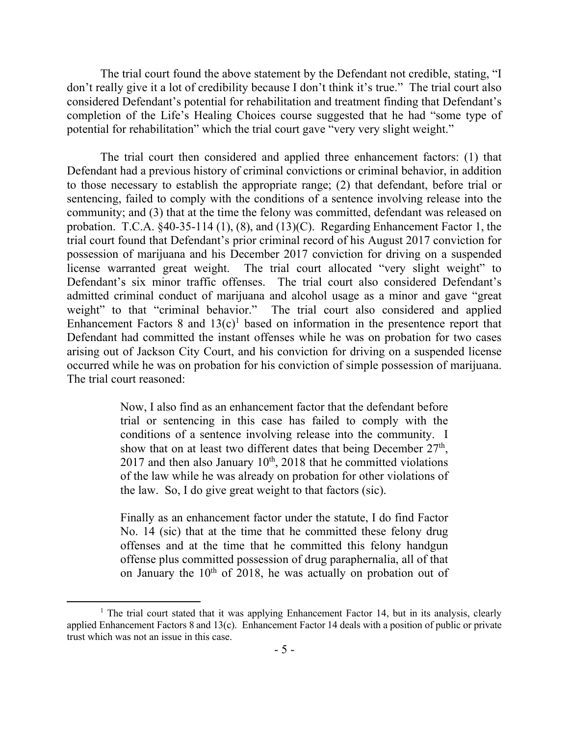The trial court found the above statement by the Defendant not credible, stating, "I don't really give it a lot of credibility because I don't think it's true." The trial court also considered Defendant's potential for rehabilitation and treatment finding that Defendant's completion of the Life's Healing Choices course suggested that he had "some type of potential for rehabilitation" which the trial court gave "very very slight weight."

The trial court then considered and applied three enhancement factors: (1) that Defendant had a previous history of criminal convictions or criminal behavior, in addition to those necessary to establish the appropriate range; (2) that defendant, before trial or sentencing, failed to comply with the conditions of a sentence involving release into the community; and (3) that at the time the felony was committed, defendant was released on probation. T.C.A. §40-35-114 (1), (8), and (13)(C). Regarding Enhancement Factor 1, the trial court found that Defendant's prior criminal record of his August 2017 conviction for possession of marijuana and his December 2017 conviction for driving on a suspended license warranted great weight. The trial court allocated "very slight weight" to Defendant's six minor traffic offenses. The trial court also considered Defendant's admitted criminal conduct of marijuana and alcohol usage as a minor and gave "great weight" to that "criminal behavior." The trial court also considered and applied Enhancement Factors 8 and  $13(c)^1$  based on information in the presentence report that Defendant had committed the instant offenses while he was on probation for two cases arising out of Jackson City Court, and his conviction for driving on a suspended license occurred while he was on probation for his conviction of simple possession of marijuana. The trial court reasoned:

> Now, I also find as an enhancement factor that the defendant before trial or sentencing in this case has failed to comply with the conditions of a sentence involving release into the community. I show that on at least two different dates that being December  $27<sup>th</sup>$ , 2017 and then also January  $10^{th}$ , 2018 that he committed violations of the law while he was already on probation for other violations of the law. So, I do give great weight to that factors (sic).

> Finally as an enhancement factor under the statute, I do find Factor No. 14 (sic) that at the time that he committed these felony drug offenses and at the time that he committed this felony handgun offense plus committed possession of drug paraphernalia, all of that on January the  $10<sup>th</sup>$  of 2018, he was actually on probation out of

 $\overline{a}$ 

<sup>&</sup>lt;sup>1</sup> The trial court stated that it was applying Enhancement Factor 14, but in its analysis, clearly applied Enhancement Factors 8 and 13(c). Enhancement Factor 14 deals with a position of public or private trust which was not an issue in this case.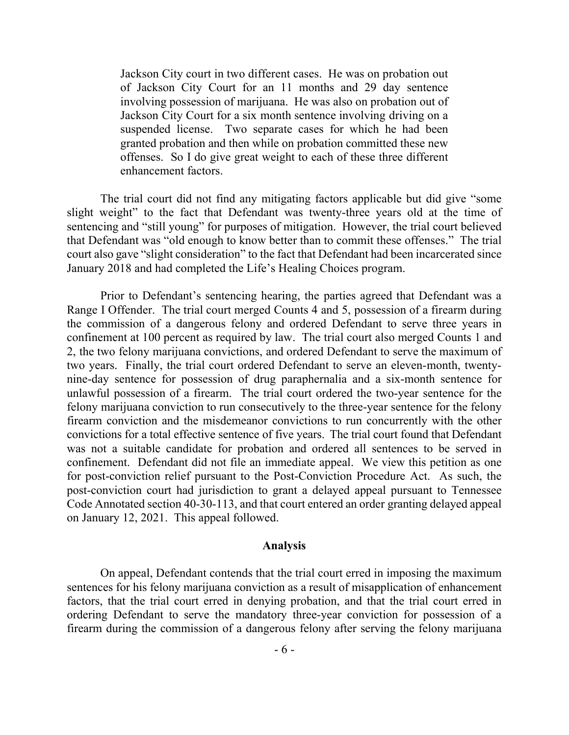Jackson City court in two different cases. He was on probation out of Jackson City Court for an 11 months and 29 day sentence involving possession of marijuana. He was also on probation out of Jackson City Court for a six month sentence involving driving on a suspended license. Two separate cases for which he had been granted probation and then while on probation committed these new offenses. So I do give great weight to each of these three different enhancement factors.

The trial court did not find any mitigating factors applicable but did give "some slight weight" to the fact that Defendant was twenty-three years old at the time of sentencing and "still young" for purposes of mitigation. However, the trial court believed that Defendant was "old enough to know better than to commit these offenses." The trial court also gave "slight consideration" to the fact that Defendant had been incarcerated since January 2018 and had completed the Life's Healing Choices program.

Prior to Defendant's sentencing hearing, the parties agreed that Defendant was a Range I Offender. The trial court merged Counts 4 and 5, possession of a firearm during the commission of a dangerous felony and ordered Defendant to serve three years in confinement at 100 percent as required by law. The trial court also merged Counts 1 and 2, the two felony marijuana convictions, and ordered Defendant to serve the maximum of two years. Finally, the trial court ordered Defendant to serve an eleven-month, twentynine-day sentence for possession of drug paraphernalia and a six-month sentence for unlawful possession of a firearm. The trial court ordered the two-year sentence for the felony marijuana conviction to run consecutively to the three-year sentence for the felony firearm conviction and the misdemeanor convictions to run concurrently with the other convictions for a total effective sentence of five years. The trial court found that Defendant was not a suitable candidate for probation and ordered all sentences to be served in confinement. Defendant did not file an immediate appeal. We view this petition as one for post-conviction relief pursuant to the Post-Conviction Procedure Act. As such, the post-conviction court had jurisdiction to grant a delayed appeal pursuant to Tennessee Code Annotated section 40-30-113, and that court entered an order granting delayed appeal on January 12, 2021. This appeal followed.

#### **Analysis**

On appeal, Defendant contends that the trial court erred in imposing the maximum sentences for his felony marijuana conviction as a result of misapplication of enhancement factors, that the trial court erred in denying probation, and that the trial court erred in ordering Defendant to serve the mandatory three-year conviction for possession of a firearm during the commission of a dangerous felony after serving the felony marijuana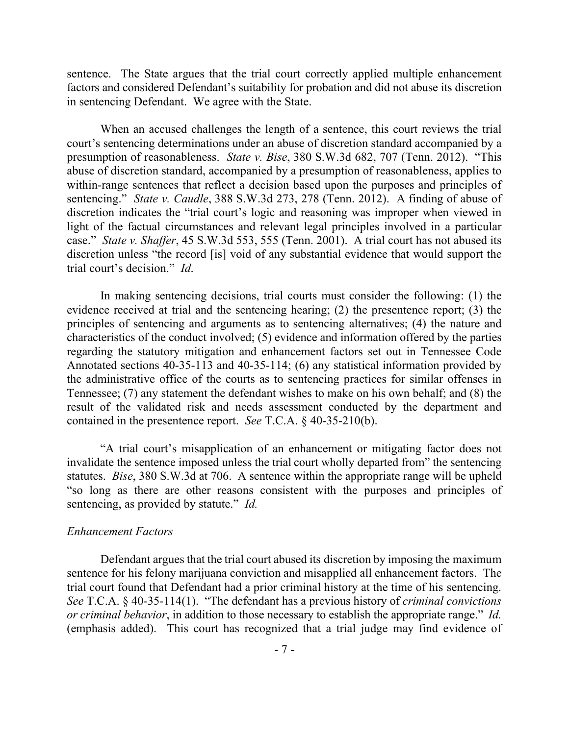sentence. The State argues that the trial court correctly applied multiple enhancement factors and considered Defendant's suitability for probation and did not abuse its discretion in sentencing Defendant. We agree with the State.

When an accused challenges the length of a sentence, this court reviews the trial court's sentencing determinations under an abuse of discretion standard accompanied by a presumption of reasonableness. *State v. Bise*, 380 S.W.3d 682, 707 (Tenn. 2012). "This abuse of discretion standard, accompanied by a presumption of reasonableness, applies to within-range sentences that reflect a decision based upon the purposes and principles of sentencing." *State v. Caudle*, 388 S.W.3d 273, 278 (Tenn. 2012). A finding of abuse of discretion indicates the "trial court's logic and reasoning was improper when viewed in light of the factual circumstances and relevant legal principles involved in a particular case." *State v. Shaffer*, 45 S.W.3d 553, 555 (Tenn. 2001). A trial court has not abused its discretion unless "the record [is] void of any substantial evidence that would support the trial court's decision." *Id*.

In making sentencing decisions, trial courts must consider the following: (1) the evidence received at trial and the sentencing hearing; (2) the presentence report; (3) the principles of sentencing and arguments as to sentencing alternatives; (4) the nature and characteristics of the conduct involved; (5) evidence and information offered by the parties regarding the statutory mitigation and enhancement factors set out in Tennessee Code Annotated sections 40-35-113 and 40-35-114; (6) any statistical information provided by the administrative office of the courts as to sentencing practices for similar offenses in Tennessee; (7) any statement the defendant wishes to make on his own behalf; and (8) the result of the validated risk and needs assessment conducted by the department and contained in the presentence report. *See* T.C.A. § 40-35-210(b).

"A trial court's misapplication of an enhancement or mitigating factor does not invalidate the sentence imposed unless the trial court wholly departed from" the sentencing statutes. *Bise*, 380 S.W.3d at 706. A sentence within the appropriate range will be upheld "so long as there are other reasons consistent with the purposes and principles of sentencing, as provided by statute." *Id.* 

### *Enhancement Factors*

Defendant argues that the trial court abused its discretion by imposing the maximum sentence for his felony marijuana conviction and misapplied all enhancement factors. The trial court found that Defendant had a prior criminal history at the time of his sentencing. *See* T.C.A. § 40-35-114(1). "The defendant has a previous history of *criminal convictions or criminal behavior*, in addition to those necessary to establish the appropriate range." *Id.*  (emphasis added). This court has recognized that a trial judge may find evidence of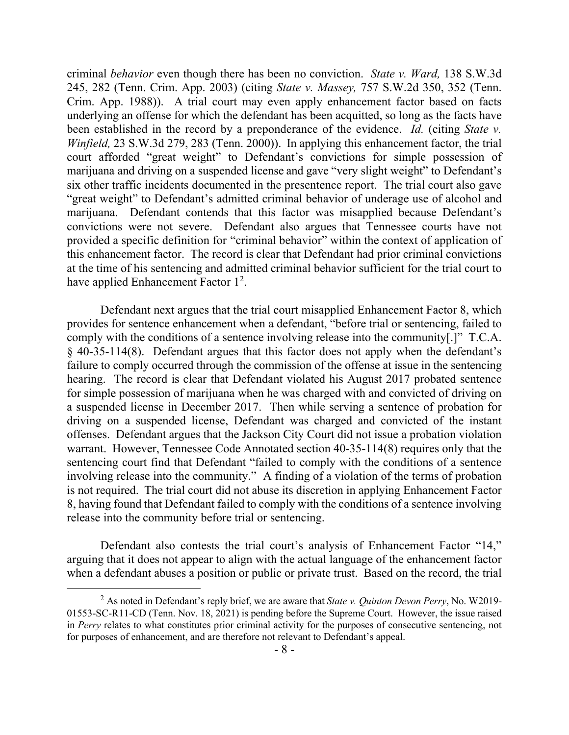criminal *behavior* even though there has been no conviction. *State v. Ward,* 138 S.W.3d 245, 282 (Tenn. Crim. App. 2003) (citing *State v. Massey,* 757 S.W.2d 350, 352 (Tenn. Crim. App. 1988)). A trial court may even apply enhancement factor based on facts underlying an offense for which the defendant has been acquitted, so long as the facts have been established in the record by a preponderance of the evidence. *Id.* (citing *State v. Winfield,* 23 S.W.3d 279, 283 (Tenn. 2000)). In applying this enhancement factor, the trial court afforded "great weight" to Defendant's convictions for simple possession of marijuana and driving on a suspended license and gave "very slight weight" to Defendant's six other traffic incidents documented in the presentence report. The trial court also gave "great weight" to Defendant's admitted criminal behavior of underage use of alcohol and marijuana. Defendant contends that this factor was misapplied because Defendant's convictions were not severe. Defendant also argues that Tennessee courts have not provided a specific definition for "criminal behavior" within the context of application of this enhancement factor. The record is clear that Defendant had prior criminal convictions at the time of his sentencing and admitted criminal behavior sufficient for the trial court to have applied Enhancement Factor 1<sup>2</sup>.

Defendant next argues that the trial court misapplied Enhancement Factor 8, which provides for sentence enhancement when a defendant, "before trial or sentencing, failed to comply with the conditions of a sentence involving release into the community[.]" T.C.A. § 40-35-114(8). Defendant argues that this factor does not apply when the defendant's failure to comply occurred through the commission of the offense at issue in the sentencing hearing. The record is clear that Defendant violated his August 2017 probated sentence for simple possession of marijuana when he was charged with and convicted of driving on a suspended license in December 2017. Then while serving a sentence of probation for driving on a suspended license, Defendant was charged and convicted of the instant offenses. Defendant argues that the Jackson City Court did not issue a probation violation warrant. However, Tennessee Code Annotated section 40-35-114(8) requires only that the sentencing court find that Defendant "failed to comply with the conditions of a sentence involving release into the community." A finding of a violation of the terms of probation is not required. The trial court did not abuse its discretion in applying Enhancement Factor 8, having found that Defendant failed to comply with the conditions of a sentence involving release into the community before trial or sentencing.

Defendant also contests the trial court's analysis of Enhancement Factor "14," arguing that it does not appear to align with the actual language of the enhancement factor when a defendant abuses a position or public or private trust. Based on the record, the trial

 $\overline{a}$ 

<sup>2</sup> As noted in Defendant's reply brief, we are aware that *State v. Quinton Devon Perry*, No. W2019- 01553-SC-R11-CD (Tenn. Nov. 18, 2021) is pending before the Supreme Court. However, the issue raised in *Perry* relates to what constitutes prior criminal activity for the purposes of consecutive sentencing, not for purposes of enhancement, and are therefore not relevant to Defendant's appeal.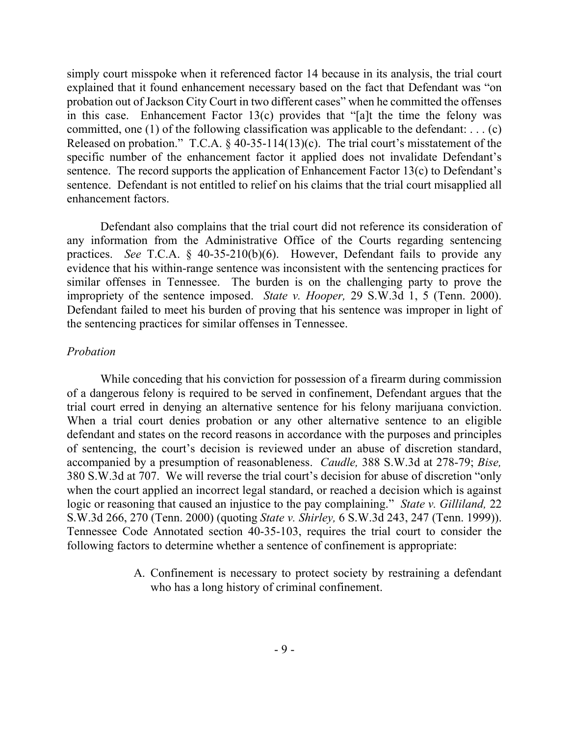simply court misspoke when it referenced factor 14 because in its analysis, the trial court explained that it found enhancement necessary based on the fact that Defendant was "on probation out of Jackson City Court in two different cases" when he committed the offenses in this case. Enhancement Factor  $13(c)$  provides that "[a]t the time the felony was committed, one (1) of the following classification was applicable to the defendant: ... (c) Released on probation." T.C.A. § 40-35-114(13)(c). The trial court's misstatement of the specific number of the enhancement factor it applied does not invalidate Defendant's sentence. The record supports the application of Enhancement Factor 13(c) to Defendant's sentence. Defendant is not entitled to relief on his claims that the trial court misapplied all enhancement factors.

Defendant also complains that the trial court did not reference its consideration of any information from the Administrative Office of the Courts regarding sentencing practices. *See* T.C.A. § 40-35-210(b)(6). However, Defendant fails to provide any evidence that his within-range sentence was inconsistent with the sentencing practices for similar offenses in Tennessee. The burden is on the challenging party to prove the impropriety of the sentence imposed. *State v. Hooper,* 29 S.W.3d 1, 5 (Tenn. 2000). Defendant failed to meet his burden of proving that his sentence was improper in light of the sentencing practices for similar offenses in Tennessee.

### *Probation*

While conceding that his conviction for possession of a firearm during commission of a dangerous felony is required to be served in confinement, Defendant argues that the trial court erred in denying an alternative sentence for his felony marijuana conviction. When a trial court denies probation or any other alternative sentence to an eligible defendant and states on the record reasons in accordance with the purposes and principles of sentencing, the court's decision is reviewed under an abuse of discretion standard, accompanied by a presumption of reasonableness. *Caudle,* 388 S.W.3d at 278-79; *Bise,*  380 S.W.3d at 707. We will reverse the trial court's decision for abuse of discretion "only when the court applied an incorrect legal standard, or reached a decision which is against logic or reasoning that caused an injustice to the pay complaining." *State v. Gilliland,* 22 S.W.3d 266, 270 (Tenn. 2000) (quoting *State v. Shirley,* 6 S.W.3d 243, 247 (Tenn. 1999)). Tennessee Code Annotated section 40-35-103, requires the trial court to consider the following factors to determine whether a sentence of confinement is appropriate:

> A. Confinement is necessary to protect society by restraining a defendant who has a long history of criminal confinement.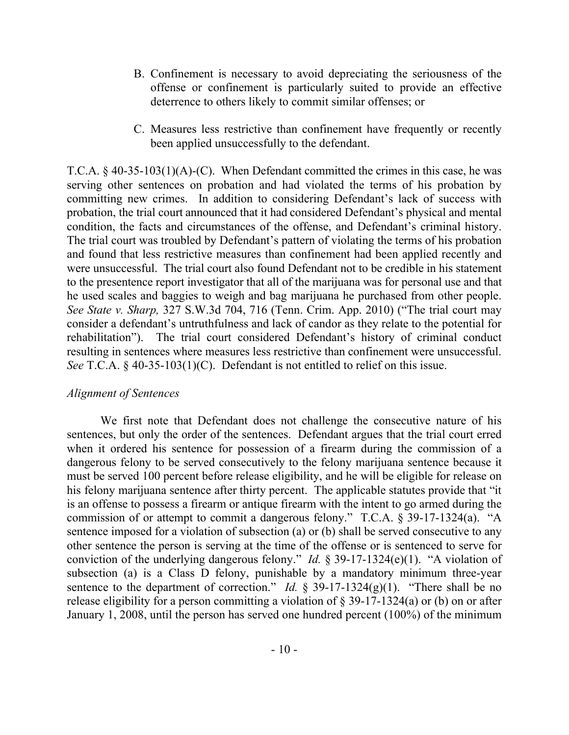- B. Confinement is necessary to avoid depreciating the seriousness of the offense or confinement is particularly suited to provide an effective deterrence to others likely to commit similar offenses; or
- C. Measures less restrictive than confinement have frequently or recently been applied unsuccessfully to the defendant.

T.C.A. § 40-35-103(1)(A)-(C). When Defendant committed the crimes in this case, he was serving other sentences on probation and had violated the terms of his probation by committing new crimes. In addition to considering Defendant's lack of success with probation, the trial court announced that it had considered Defendant's physical and mental condition, the facts and circumstances of the offense, and Defendant's criminal history. The trial court was troubled by Defendant's pattern of violating the terms of his probation and found that less restrictive measures than confinement had been applied recently and were unsuccessful. The trial court also found Defendant not to be credible in his statement to the presentence report investigator that all of the marijuana was for personal use and that he used scales and baggies to weigh and bag marijuana he purchased from other people. *See State v. Sharp,* 327 S.W.3d 704, 716 (Tenn. Crim. App. 2010) ("The trial court may consider a defendant's untruthfulness and lack of candor as they relate to the potential for rehabilitation"). The trial court considered Defendant's history of criminal conduct resulting in sentences where measures less restrictive than confinement were unsuccessful. *See* T.C.A. § 40-35-103(1)(C). Defendant is not entitled to relief on this issue.

### *Alignment of Sentences*

We first note that Defendant does not challenge the consecutive nature of his sentences, but only the order of the sentences. Defendant argues that the trial court erred when it ordered his sentence for possession of a firearm during the commission of a dangerous felony to be served consecutively to the felony marijuana sentence because it must be served 100 percent before release eligibility, and he will be eligible for release on his felony marijuana sentence after thirty percent. The applicable statutes provide that "it is an offense to possess a firearm or antique firearm with the intent to go armed during the commission of or attempt to commit a dangerous felony." T.C.A. § 39-17-1324(a). "A sentence imposed for a violation of subsection (a) or (b) shall be served consecutive to any other sentence the person is serving at the time of the offense or is sentenced to serve for conviction of the underlying dangerous felony." *Id.* § 39-17-1324(e)(1). "A violation of subsection (a) is a Class D felony, punishable by a mandatory minimum three-year sentence to the department of correction." *Id.*  $\S$  39-17-1324(g)(1). "There shall be no release eligibility for a person committing a violation of  $\S$  39-17-1324(a) or (b) on or after January 1, 2008, until the person has served one hundred percent (100%) of the minimum